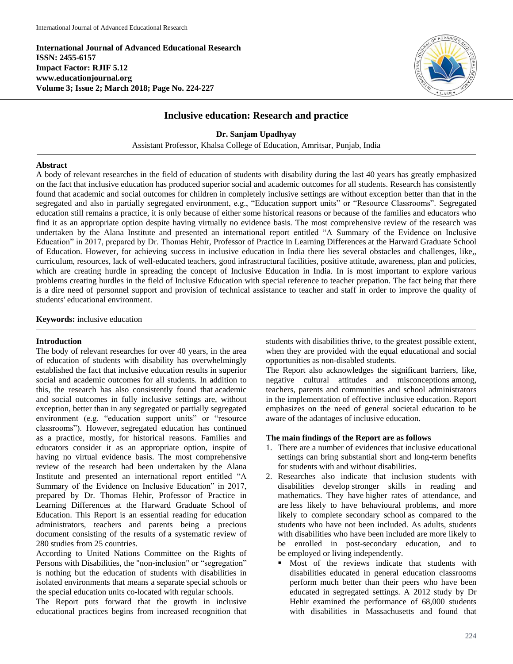**International Journal of Advanced Educational Research ISSN: 2455-6157 Impact Factor: RJIF 5.12 www.educationjournal.org Volume 3; Issue 2; March 2018; Page No. 224-227**



# **Inclusive education: Research and practice**

**Dr. Sanjam Upadhyay** Assistant Professor, Khalsa College of Education, Amritsar, Punjab, India

#### **Abstract**

A body of relevant researches in the field of education of students with disability during the last 40 years has greatly emphasized on the fact that inclusive education has produced superior social and academic outcomes for all students. Research has consistently found that academic and social outcomes for children in completely inclusive settings are without exception better than that in the segregated and also in partially segregated environment, e.g., "Education support units" or "Resource Classrooms". Segregated education still remains a practice, it is only because of either some historical reasons or because of the families and educators who find it as an appropriate option despite having virtually no evidence basis. The most comprehensive review of the research was undertaken by the Alana Institute and presented an international report entitled "A Summary of the Evidence on Inclusive Education" in 2017, prepared by Dr. Thomas Hehir, Professor of Practice in Learning Differences at the Harward Graduate School of Education. However, for achieving success in inclusive education in India there lies several obstacles and challenges, like,, curriculum, resources, lack of well-educated teachers, good infrastructural facilities, positive attitude, awareness, plan and policies, which are creating hurdle in spreading the concept of Inclusive Education in India. In is most important to explore various problems creating hurdles in the field of Inclusive Education with special reference to teacher prepation. The fact being that there is a dire need of personnel support and provision of technical assistance to teacher and staff in order to improve the quality of students' educational environment.

#### **Keywords:** inclusive education

#### **Introduction**

The body of relevant researches for over 40 years, in the area of education of students with disability has overwhelmingly established the fact that inclusive education results in superior social and academic outcomes for all students. In addition to this, the research has also consistently found that academic and social outcomes in fully inclusive settings are, without exception, better than in any segregated or partially segregated environment (e.g. "education support units" or "resource classrooms"). However, segregated education has continued as a practice, mostly, for historical reasons. Families and educators consider it as an appropriate option, inspite of having no virtual evidence basis. The most comprehensive review of the research had been undertaken by the Alana Institute and presented an international report entitled "A Summary of the Evidence on Inclusive Education" in 2017, prepared by Dr. Thomas Hehir, Professor of Practice in Learning Differences at the Harward Graduate School of Education. This Report is an essential reading for education administrators, teachers and parents being a precious document consisting of the results of a systematic review of 280 studies from 25 countries.

According to United Nations Committee on the Rights of Persons with Disabilities, the "non-inclusion" or "segregation" is nothing but the education of students with disabilities in isolated environments that means a separate special schools or the special education units co-located with regular schools.

The Report puts forward that the growth in inclusive educational practices begins from increased recognition that

students with disabilities thrive, to the greatest possible extent, when they are provided with the equal educational and social opportunities as non-disabled students.

The Report also acknowledges the significant barriers, like, negative cultural attitudes and misconceptions among, teachers, parents and communities and school administrators in the implementation of effective inclusive education. Report emphasizes on the need of general societal education to be aware of the adantages of inclusive education.

#### **The main findings of the Report are as follows**

- 1. There are a number of evidences that inclusive educational settings can bring substantial short and long-term benefits for students with and without disabilities.
- 2. Researches also indicate that inclusion students with disabilities develop stronger skills in reading and mathematics. They have higher rates of attendance, and are less likely to have behavioural problems, and more likely to complete secondary school as compared to the students who have not been included. As adults, students with disabilities who have been included are more likely to be enrolled in post-secondary education, and to be employed or living independently.
	- Most of the reviews indicate that students with disabilities educated in general education classrooms perform much better than their peers who have been educated in segregated settings. A 2012 study by Dr Hehir examined the performance of 68,000 students with disabilities in Massachusetts and found that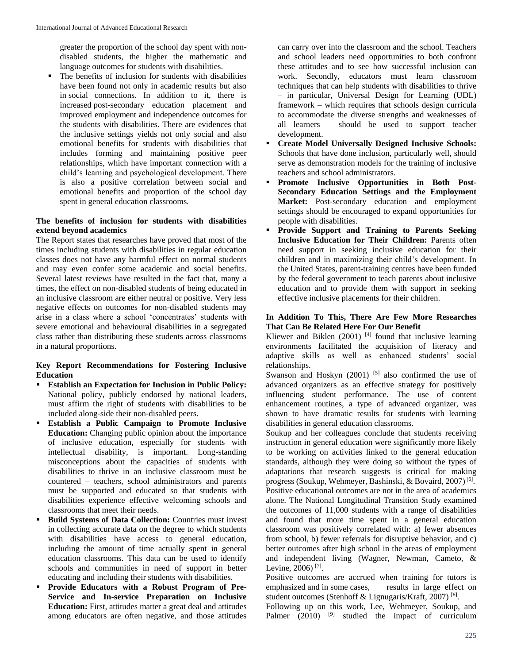greater the proportion of the school day spent with nondisabled students, the higher the mathematic and language outcomes for students with disabilities.

• The benefits of inclusion for students with disabilities have been found not only in academic results but also in social connections. In addition to it, there is increased post-secondary education placement and improved employment and independence outcomes for the students with disabilities. There are evidences that the inclusive settings yields not only social and also emotional benefits for students with disabilities that includes forming and maintaining positive peer relationships, which have important connection with a child's learning and psychological development. There is also a positive correlation between social and emotional benefits and proportion of the school day spent in general education classrooms.

### **The benefits of inclusion for students with disabilities extend beyond academics**

The Report states that researches have proved that most of the times including students with disabilities in regular education classes does not have any harmful effect on normal students and may even confer some academic and social benefits. Several latest reviews have resulted in the fact that, many a times, the effect on non-disabled students of being educated in an inclusive classroom are either neutral or positive. Very less negative effects on outcomes for non-disabled students may arise in a class where a school 'concentrates' students with severe emotional and behavioural disabilities in a segregated class rather than distributing these students across classrooms in a natural proportions.

## **Key Report Recommendations for Fostering Inclusive Education**

- **Establish an Expectation for Inclusion in Public Policy:**  National policy, publicly endorsed by national leaders, must affirm the right of students with disabilities to be included along-side their non-disabled peers.
- **Establish a Public Campaign to Promote Inclusive Education:** Changing public opinion about the importance of inclusive education, especially for students with intellectual disability, is important. Long-standing misconceptions about the capacities of students with disabilities to thrive in an inclusive classroom must be countered – teachers, school administrators and parents must be supported and educated so that students with disabilities experience effective welcoming schools and classrooms that meet their needs.
- **Build Systems of Data Collection: Countries must invest** in collecting accurate data on the degree to which students with disabilities have access to general education, including the amount of time actually spent in general education classrooms. This data can be used to identify schools and communities in need of support in better educating and including their students with disabilities.
- **Provide Educators with a Robust Program of Pre-Service and In-service Preparation on Inclusive Education:** First, attitudes matter a great deal and attitudes among educators are often negative, and those attitudes

can carry over into the classroom and the school. Teachers and school leaders need opportunities to both confront these attitudes and to see how successful inclusion can work. Secondly, educators must learn classroom techniques that can help students with disabilities to thrive – in particular, Universal Design for Learning (UDL) framework – which requires that schools design curricula to accommodate the diverse strengths and weaknesses of all learners – should be used to support teacher development.

- **Create Model Universally Designed Inclusive Schools:**  Schools that have done inclusion, particularly well, should serve as demonstration models for the training of inclusive teachers and school administrators.
- **Promote Inclusive Opportunities in Both Post-Secondary Education Settings and the Employment Market:** Post-secondary education and employment settings should be encouraged to expand opportunities for people with disabilities.
- **Provide Support and Training to Parents Seeking Inclusive Education for Their Children:** Parents often need support in seeking inclusive education for their children and in maximizing their child's development. In the United States, parent-training centres have been funded by the federal government to teach parents about inclusive education and to provide them with support in seeking effective inclusive placements for their children.

### **In Addition To This, There Are Few More Researches That Can Be Related Here For Our Benefit**

Kliewer and Biklen  $(2001)$ <sup>[4]</sup> found that inclusive learning environments facilitated the acquisition of literacy and adaptive skills as well as enhanced students' social relationships.

Swanson and Hoskyn  $(2001)$ <sup>[5]</sup> also confirmed the use of advanced organizers as an effective strategy for positively influencing student performance. The use of content enhancement routines, a type of advanced organizer, was shown to have dramatic results for students with learning disabilities in general education classrooms.

Soukup and her colleagues conclude that students receiving instruction in general education were significantly more likely to be working on activities linked to the general education standards, although they were doing so without the types of adaptations that research suggests is critical for making progress (Soukup, Wehmeyer, Bashinski, & Bovaird, 2007)<sup>[6]</sup>. Positive educational outcomes are not in the area of academics alone. The National Longitudinal Transition Study examined the outcomes of 11,000 students with a range of disabilities and found that more time spent in a general education classroom was positively correlated with: a) fewer absences from school, b) fewer referrals for disruptive behavior, and c) better outcomes after high school in the areas of employment and independent living (Wagner, Newman, Cameto, & Levine, 2006)<sup>[7]</sup>.

Positive outcomes are accrued when training for tutors is emphasized and in some cases, results in large effect on student outcomes (Stenhoff & Lignugaris/Kraft, 2007)<sup>[8]</sup>.

Following up on this work, Lee, Wehmeyer, Soukup, and Palmer  $(2010)$  <sup>[9]</sup> studied the impact of curriculum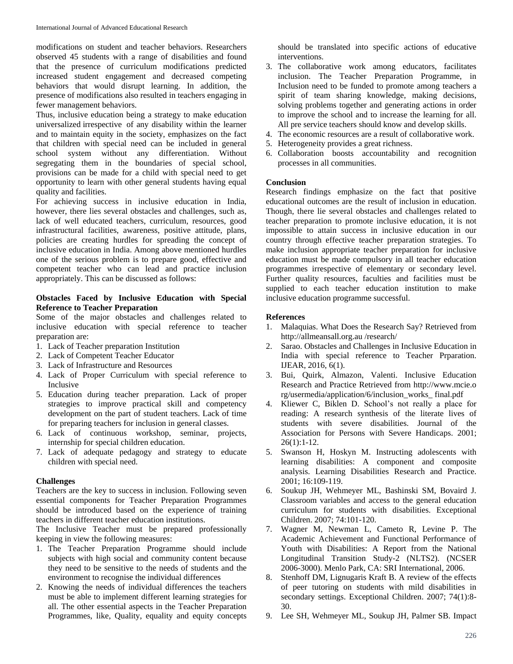modifications on student and teacher behaviors. Researchers observed 45 students with a range of disabilities and found that the presence of curriculum modifications predicted increased student engagement and decreased competing behaviors that would disrupt learning. In addition, the presence of modifications also resulted in teachers engaging in fewer management behaviors.

Thus, inclusive education being a strategy to make education universalized irrespective of any disability within the learner and to maintain equity in the society, emphasizes on the fact that children with special need can be included in general school system without any differentiation. Without segregating them in the boundaries of special school, provisions can be made for a child with special need to get opportunity to learn with other general students having equal quality and facilities.

For achieving success in inclusive education in India, however, there lies several obstacles and challenges, such as, lack of well educated teachers, curriculum, resources, good infrastructural facilities, awareness, positive attitude, plans, policies are creating hurdles for spreading the concept of inclusive education in India. Among above mentioned hurdles one of the serious problem is to prepare good, effective and competent teacher who can lead and practice inclusion appropriately. This can be discussed as follows:

## **Obstacles Faced by Inclusive Education with Special Reference to Teacher Preparation**

Some of the major obstacles and challenges related to inclusive education with special reference to teacher preparation are:

- 1. Lack of Teacher preparation Institution
- 2. Lack of Competent Teacher Educator
- 3. Lack of Infrastructure and Resources
- 4. Lack of Proper Curriculum with special reference to Inclusive
- 5. Education during teacher preparation. Lack of proper strategies to improve practical skill and competency development on the part of student teachers. Lack of time for preparing teachers for inclusion in general classes.
- 6. Lack of continuous workshop, seminar, projects, internship for special children education.
- 7. Lack of adequate pedagogy and strategy to educate children with special need.

## **Challenges**

Teachers are the key to success in inclusion. Following seven essential components for Teacher Preparation Programmes should be introduced based on the experience of training teachers in different teacher education institutions.

The Inclusive Teacher must be prepared professionally keeping in view the following measures:

- 1. The Teacher Preparation Programme should include subjects with high social and community content because they need to be sensitive to the needs of students and the environment to recognise the individual differences
- 2. Knowing the needs of individual differences the teachers must be able to implement different learning strategies for all. The other essential aspects in the Teacher Preparation Programmes, like, Quality, equality and equity concepts

should be translated into specific actions of educative interventions.

- 3. The collaborative work among educators, facilitates inclusion. The Teacher Preparation Programme, in Inclusion need to be funded to promote among teachers a spirit of team sharing knowledge, making decisions, solving problems together and generating actions in order to improve the school and to increase the learning for all. All pre service teachers should know and develop skills.
- 4. The economic resources are a result of collaborative work.
- 5. Heterogeneity provides a great richness.
- 6. Collaboration boosts accountability and recognition processes in all communities.

## **Conclusion**

Research findings emphasize on the fact that positive educational outcomes are the result of inclusion in education. Though, there lie several obstacles and challenges related to teacher preparation to promote inclusive education, it is not impossible to attain success in inclusive education in our country through effective teacher preparation strategies. To make inclusion appropriate teacher preparation for inclusive education must be made compulsory in all teacher education programmes irrespective of elementary or secondary level. Further quality resources, faculties and facilities must be supplied to each teacher education institution to make inclusive education programme successful.

#### **References**

- 1. Malaquias. What Does the Research Say? Retrieved from http://allmeansall.org.au /research/
- 2. Sarao. Obstacles and Challenges in Inclusive Education in India with special reference to Teacher Prparation. IJEAR, 2016, 6(1).
- 3. Bui, Quirk, Almazon, Valenti. Inclusive Education Research and Practice Retrieved from http://www.mcie.o rg/usermedia/application/6/inclusion\_works\_ final.pdf
- 4. Kliewer C, Biklen D. School's not really a place for reading: A research synthesis of the literate lives of students with severe disabilities. Journal of the Association for Persons with Severe Handicaps. 2001; 26(1):1-12.
- 5. Swanson H, Hoskyn M. Instructing adolescents with learning disabilities: A component and composite analysis. Learning Disabilities Research and Practice. 2001; 16:109-119.
- 6. Soukup JH, Wehmeyer ML, Bashinski SM, Bovaird J. Classroom variables and access to the general education curriculum for students with disabilities. Exceptional Children. 2007; 74:101-120.
- 7. Wagner M, Newman L, Cameto R, Levine P. The Academic Achievement and Functional Performance of Youth with Disabilities: A Report from the National Longitudinal Transition Study-2 (NLTS2). (NCSER 2006-3000). Menlo Park, CA: SRI International, 2006.
- 8. Stenhoff DM, Lignugaris Kraft B. A review of the effects of peer tutoring on students with mild disabilities in secondary settings. Exceptional Children. 2007; 74(1):8- 30.
- 9. Lee SH, Wehmeyer ML, Soukup JH, Palmer SB. Impact